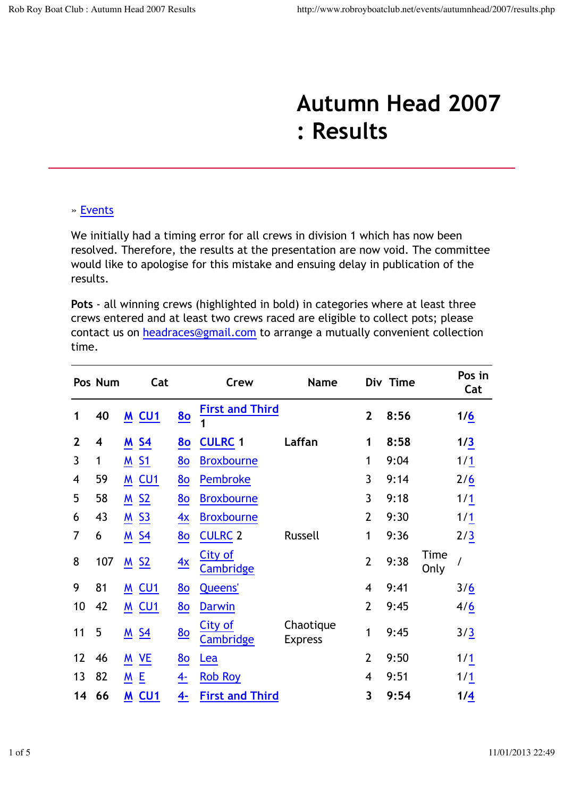## **Autumn Head 2007 : Results**

## » Events

We initially had a timing error for all crews in division 1 which has now been resolved. Therefore, the results at the presentation are now void. The committee would like to apologise for this mistake and ensuing delay in publication of the results.

**Pots** - all winning crews (highlighted in bold) in categories where at least three crews entered and at least two crews raced are eligible to collect pots; please contact us on headraces@gmail.com to arrange a mutually convenient collection time.

|                | Pos Num |                    | Cat              |                | Crew                        | <b>Name</b>                 |                | Div Time |              | Pos in<br>Cat |
|----------------|---------|--------------------|------------------|----------------|-----------------------------|-----------------------------|----------------|----------|--------------|---------------|
| 1              | 40      |                    | M <sub>CU1</sub> | 80             | <b>First and Third</b><br>1 |                             | $\overline{2}$ | 8:56     |              | 1/6           |
| $\overline{2}$ | 4       | <b>M S4</b>        |                  | 80             | <b>CULRC 1</b>              | Laffan                      | 1              | 8:58     |              | 1/3           |
| $\overline{3}$ | 1       | <u>M</u>           | 51               | 80             | <b>Broxbourne</b>           |                             | 1              | 9:04     |              | 1/1           |
| 4              | 59      |                    | M <sub>CU1</sub> | 80             | Pembroke                    |                             | 3              | 9:14     |              | 2/6           |
| 5              | 58      | $M$ S <sub>2</sub> |                  | 80             | <b>Broxbourne</b>           |                             | 3              | 9:18     |              | 1/1           |
| 6              | 43      | <u>M S3</u>        |                  | 4x             | <b>Broxbourne</b>           |                             | $\overline{2}$ | 9:30     |              | 1/1           |
| 7              | 6       | <b>M</b> S4        |                  | 80             | <b>CULRC 2</b>              | Russell                     | 1              | 9:36     |              | 2/3           |
| 8              | 107     | $M$ S <sub>2</sub> |                  | $\frac{4x}{2}$ | City of<br>Cambridge        |                             | $\overline{2}$ | 9:38     | Time<br>Only |               |
| 9              | 81      |                    | <b>M CU1</b>     | 80             | <b>Queens'</b>              |                             | 4              | 9:41     |              | 3/6           |
| 10             | 42      |                    | <b>M CU1</b>     | 80             | <b>Darwin</b>               |                             | $\overline{2}$ | 9:45     |              | 4/6           |
| 11             | 5       | M <sub>S4</sub>    |                  | 80             | <b>City of</b><br>Cambridge | Chaotique<br><b>Express</b> | 1              | 9:45     |              | 3/3           |
| 12             | 46      | M VE               |                  | 80             | Lea                         |                             | $\overline{2}$ | 9:50     |              | 1/1           |
| 13             | 82      | MΕ                 |                  | $4-$           | <b>Rob Roy</b>              |                             | 4              | 9:51     |              | 1/1           |
| 14             | 66      |                    | M CU1            | 4-             | <b>First and Third</b>      |                             | 3              | 9:54     |              | 1/4           |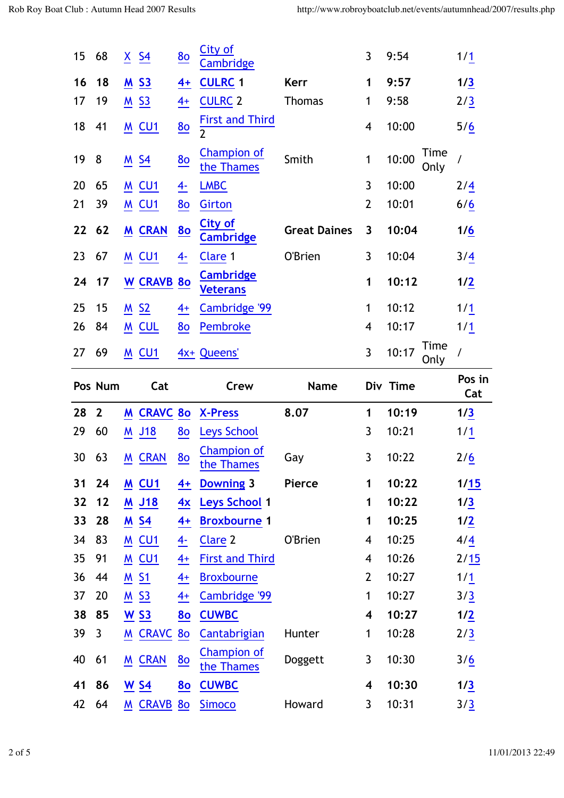| 15 | 68           | $X \simeq 54$      | 80             | City of<br><b>Cambridge</b>              |                     | 3              | 9:54                  | 1/1           |
|----|--------------|--------------------|----------------|------------------------------------------|---------------------|----------------|-----------------------|---------------|
| 16 | 18           | <u>M S3</u>        | $4+$           | <b>CULRC 1</b>                           | <b>Kerr</b>         | 1              | 9:57                  | 1/3           |
| 17 | 19           | $M$ S3             | $4+$           | <b>CULRC 2</b>                           | <b>Thomas</b>       | 1              | 9:58                  | 2/3           |
| 18 | 41           | <b>M CU1</b>       | 80             | <b>First and Third</b><br>$\overline{2}$ |                     | 4              | 10:00                 | 5/6           |
| 19 | 8            | $M$ S4             | 80             | <b>Champion of</b><br>the Thames         | Smith               | $\mathbf{1}$   | Time<br>10:00<br>Only | $\prime$      |
| 20 | 65           | <b>M CU1</b>       | <u>4-</u>      | <b>LMBC</b>                              |                     | 3              | 10:00                 | 2/4           |
| 21 | 39           | <u>M</u> CU1       | 80             | Girton                                   |                     | $\overline{2}$ | 10:01                 | 6/6           |
| 22 | 62           | M CRAN             | 80             | <b>City of</b><br><b>Cambridge</b>       | <b>Great Daines</b> | 3              | 10:04                 | 1/6           |
| 23 | 67           | M CU1              | $\ddot{4}$     | Clare 1                                  | O'Brien             | 3              | 10:04                 | 3/4           |
| 24 | 17           | <b>W CRAVB</b>     | 80             | <b>Cambridge</b><br><b>Veterans</b>      |                     | 1              | 10:12                 | 1/2           |
| 25 | 15           | $M$ S <sub>2</sub> | $4+$           | Cambridge '99                            |                     | $\mathbf{1}$   | 10:12                 | 1/1           |
| 26 | 84           | M CUL              | 80             | Pembroke                                 |                     | 4              | 10:17                 | 1/1           |
| 27 | 69           | <b>M CU1</b>       |                | 4x+ Queens'                              |                     | 3              | Time<br>10:17<br>Only | $\prime$      |
|    |              |                    |                |                                          |                     |                |                       |               |
|    | Pos Num      | Cat                |                | Crew                                     | <b>Name</b>         |                | Div Time              | Pos in<br>Cat |
| 28 | $\mathbf{2}$ | <b>M CRAVC 80</b>  |                | <b>X-Press</b>                           | 8.07                | 1              | 10:19                 | 1/3           |
| 29 | 60           | M J18              | 80             | Leys School                              |                     | 3              | 10:21                 | 1/1           |
| 30 | 63           | <b>M CRAN</b>      | 80             | <b>Champion of</b><br>the Thames         | Gay                 | 3              | 10:22                 | 2/6           |
| 31 | 24           | M <sub>CU1</sub>   | $4+$           | <b>Downing 3</b>                         | Pierce              | 1              | 10:22                 | 1/15          |
| 32 | $12$         | <u>M J18</u>       | 4x             | <b>Leys School 1</b>                     |                     | 1              | 10:22                 | 1/3           |
| 33 | 28           | $M$ S <sub>4</sub> | $4+$           | <b>Broxbourne 1</b>                      |                     | 1              | 10:25                 | 1/2           |
| 34 | 83           | <b>M CU1</b>       | $\frac{4}{1}$  | Clare 2                                  | O'Brien             | 4              | 10:25                 | 4/4           |
| 35 | 91           | <b>M CU1</b>       | $\overline{4}$ | <b>First and Third</b>                   |                     | 4              | 10:26                 | 2/15          |
| 36 | 44           | <b>M S1</b>        | $4+$           | <b>Broxbourne</b>                        |                     | $\overline{2}$ | 10:27                 | 1/1           |
| 37 | 20           | <u>M S3</u>        | $\frac{4+}{2}$ | Cambridge '99                            |                     | $\mathbf{1}$   | 10:27                 | 3/3           |
| 38 | 85           | $W$ S3             | 80             | <b>CUWBC</b>                             |                     | 4              | 10:27                 | 1/2           |
| 39 | $\mathbf{3}$ | <b>M CRAVC</b>     | 80             | Cantabrigian                             | Hunter              | 1              | 10:28                 | 2/3           |
| 40 | 61           | <b>M CRAN</b>      | 80             | <b>Champion of</b><br>the Thames         | Doggett             | 3              | 10:30                 | 3/6           |
| 41 | 86           | <u>W S4</u>        | <u>80</u>      | <b>CUWBC</b>                             |                     | 4              | 10:30                 | 1/3           |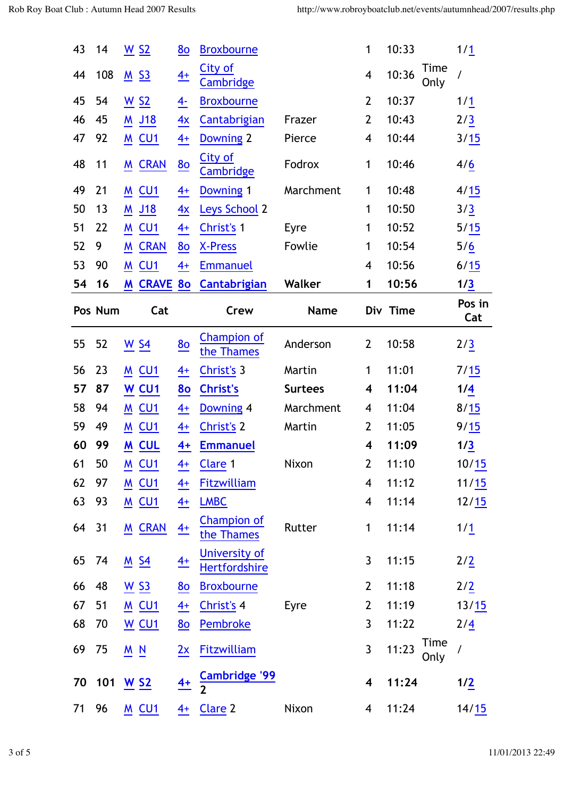| 43 | 14      | $\underline{W}$ S <sub>2</sub> |                    | 80               | <b>Broxbourne</b>                |                | 1                        | 10:33    |                     | 1/1               |
|----|---------|--------------------------------|--------------------|------------------|----------------------------------|----------------|--------------------------|----------|---------------------|-------------------|
| 44 | 108     | M <sub>S3</sub>                |                    | $4+$             | City of<br>Cambridge             |                | $\overline{\mathcal{A}}$ | 10:36    | Time<br>Only        | $\overline{I}$    |
| 45 | 54      | $\underline{W}$ S <sub>2</sub> |                    | $\overline{4}$   | <b>Broxbourne</b>                |                | $\overline{2}$           | 10:37    |                     | $1/\underline{1}$ |
| 46 | 45      |                                | M J18              | 4x               | Cantabrigian                     | Frazer         | $\overline{2}$           | 10:43    |                     | 2/3               |
| 47 | 92      |                                | M <sub>CU1</sub>   | $\frac{4+}{4}$   | <b>Downing 2</b>                 | Pierce         | $\overline{\mathbf{4}}$  | 10:44    |                     | 3/15              |
| 48 | 11      |                                | M CRAN             | 80               | City of<br><b>Cambridge</b>      | Fodrox         | 1                        | 10:46    |                     | 4/6               |
| 49 | 21      | M                              | CU1                | $\overline{4^+}$ | Downing 1                        | Marchment      | 1                        | 10:48    |                     | 4/15              |
| 50 | 13      | M                              | <u>J18</u>         | 4x               | Leys School 2                    |                | 1                        | 10:50    |                     | 3/3               |
| 51 | 22      |                                | M CU1              | $\frac{4+}{4}$   | Christ's 1                       | Eyre           | 1                        | 10:52    |                     | $5/15$            |
| 52 | 9       | M                              | <b>CRAN</b>        | 80               | <b>X-Press</b>                   | Fowlie         | 1                        | 10:54    |                     | 5/6               |
| 53 | 90      | M                              | CU1                | $4+$             | <b>Emmanuel</b>                  |                | $\overline{\mathbf{4}}$  | 10:56    |                     | 6/15              |
| 54 | 16      |                                | M CRAVE 80         |                  | Cantabrigian                     | Walker         | 1                        | 10:56    |                     | 1/3               |
|    | Pos Num |                                | Cat                |                  | Crew                             | <b>Name</b>    |                          | Div Time |                     | Pos in<br>Cat     |
| 55 | 52      |                                | W <sub>54</sub>    | 80               | <b>Champion of</b><br>the Thames | Anderson       | $\overline{2}$           | 10:58    |                     | 2/3               |
| 56 | 23      |                                | <b>M CU1</b>       | $\frac{4+}{2}$   | Christ's 3                       | Martin         | 1                        | 11:01    |                     | 7/15              |
| 57 | 87      |                                | W <sub>CU1</sub>   | 80               | <b>Christ's</b>                  | <b>Surtees</b> | $\overline{\mathbf{4}}$  | 11:04    |                     | 1/4               |
| 58 | 94      |                                | <b>M CU1</b>       | $4+$             | Downing 4                        | Marchment      | 4                        | 11:04    |                     | 8/15              |
| 59 | 49      |                                | M <sub>CU1</sub>   | $\frac{4+}{4}$   | <b>Christ's 2</b>                | Martin         | $\overline{2}$           | 11:05    |                     | 9/15              |
| 60 | 99      |                                | M CUL              | $4+$             | <b>Emmanuel</b>                  |                | $\overline{\mathbf{4}}$  | 11:09    |                     | 1/3               |
| 61 | 50      |                                | M <sub>CU1</sub>   |                  | $4+$ Clare 1                     | Nixon          | 2 <sup>2</sup>           | 11:10    |                     | 10/15             |
| 62 | 97      |                                | $M$ CU1            | $\frac{4+}{2}$   | Fitzwilliam                      |                | 4                        | 11:12    |                     | 11/15             |
| 63 | 93      |                                | M <sub>CU1</sub>   | $\frac{4+}{4}$   | <b>LMBC</b>                      |                | $\overline{\mathbf{4}}$  | 11:14    |                     | 12/15             |
| 64 | 31      |                                | M CRAN             | $4+$             | <b>Champion of</b><br>the Thames | Rutter         | 1                        | 11:14    |                     | 1/1               |
| 65 | 74      |                                | $M_{}$ S4          | $\frac{4+}{2}$   | University of<br>Hertfordshire   |                | $\mathbf{3}$             | 11:15    |                     | 2/2               |
| 66 | 48      |                                | $\underline{W}$ S3 | 80               | <b>Broxbourne</b>                |                | $\overline{2}$           | 11:18    |                     | 2/2               |
| 67 | 51      |                                | $M$ CU1            | $\frac{4+}{4}$   | Christ's 4                       | Eyre           | $\overline{2}$           | 11:19    |                     | 13/15             |
| 68 | 70      |                                | W <sub>CU1</sub>   | 80               | Pembroke                         |                | $\mathbf{3}$             | 11:22    |                     | 2/4               |
| 69 | 75      | M N                            |                    | 2x               | Fitzwilliam                      |                | $\mathbf{3}$             | 11:23    | <b>Time</b><br>Only | /                 |
| 70 | 101     |                                | $W$ S <sub>2</sub> | $\frac{4+}{4}$   | Cambridge '99                    |                | $\overline{\mathbf{4}}$  | 11:24    |                     | 1/2               |
| 71 | 96      |                                | M <sub>CU1</sub>   | $4+$             | Clare <sub>2</sub>               | Nixon          | 4                        | 11:24    |                     | 14/15             |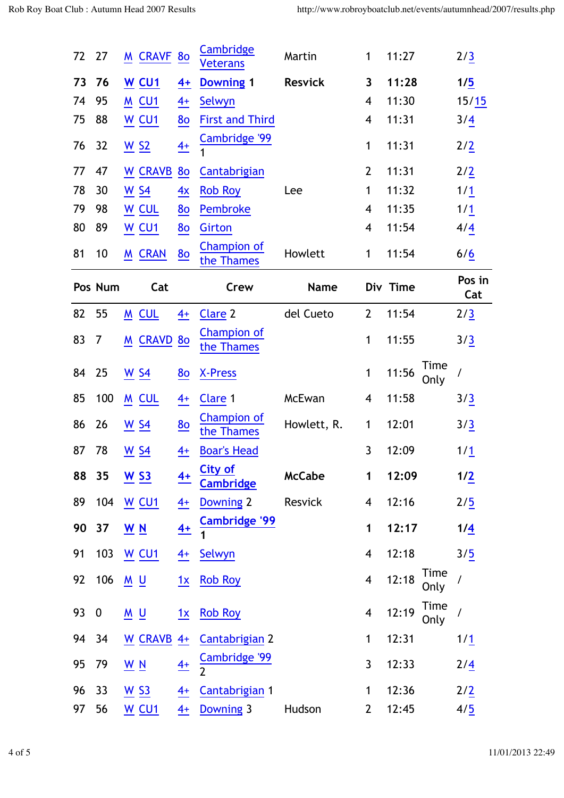| 72 | 27               | <b>M CRAVF</b>                  |                 | 80             | Cambridge<br><b>Veterans</b>       | Martin         | $\mathbf{1}$            | 11:27    |              | 2/3           |
|----|------------------|---------------------------------|-----------------|----------------|------------------------------------|----------------|-------------------------|----------|--------------|---------------|
| 73 | 76               | W <sub>CU1</sub>                |                 | $4+$           | <b>Downing 1</b>                   | <b>Resvick</b> | 3                       | 11:28    |              | 1/5           |
| 74 | 95               | M CU1                           |                 | $4+$           | Selwyn                             |                | 4                       | 11:30    |              | 15/15         |
| 75 | 88               | W CU1                           |                 | <u>80</u>      | <b>First and Third</b>             |                | 4                       | 11:31    |              | 3/4           |
| 76 | 32               | $\underline{W}$ S <sub>2</sub>  |                 | $\frac{4+}{4}$ | Cambridge '99                      |                | 1                       | 11:31    |              | 2/2           |
| 77 | 47               | W CRAVB                         |                 | 80             | <b>Cantabrigian</b>                |                | $\overline{2}$          | 11:31    |              | 2/2           |
| 78 | 30               | $\underline{W}$ S <sub>4</sub>  |                 | $\frac{4x}{2}$ | <b>Rob Roy</b>                     | Lee            | 1                       | 11:32    |              | 1/1           |
| 79 | 98               | W CUL                           |                 | 80             | Pembroke                           |                | 4                       | 11:35    |              | 1/1           |
| 80 | 89               | W <sub>CU1</sub>                |                 | 80             | <b>Girton</b>                      |                | 4                       | 11:54    |              | 4/4           |
| 81 | 10               | <b>M CRAN</b>                   |                 | 80             | <b>Champion of</b><br>the Thames   | Howlett        | $\mathbf{1}$            | 11:54    |              | 6/6           |
|    | Pos Num          |                                 | Cat             |                | Crew                               | <b>Name</b>    |                         | Div Time |              | Pos in<br>Cat |
| 82 | 55               | M CUL                           |                 | $\frac{4+}{2}$ | Clare 2                            | del Cueto      | $\overline{2}$          | 11:54    |              | 2/3           |
| 83 | 7                | M                               | <b>CRAVD 80</b> |                | <b>Champion of</b><br>the Thames   |                | 1                       | 11:55    |              | 3/3           |
| 84 | 25               | $\underline{W}$ S <sub>4</sub>  |                 | 80             | <b>X-Press</b>                     |                | $\mathbf{1}$            | 11:56    | Time<br>Only | /             |
| 85 | 100              | M CUL                           |                 | $4+$           | Clare <sub>1</sub>                 | McEwan         | 4                       | 11:58    |              | 3/3           |
| 86 | 26               | $\underline{W}$ S <sub>4</sub>  |                 | 80             | <b>Champion of</b><br>the Thames   | Howlett, R.    | 1                       | 12:01    |              | 3/3           |
| 87 | 78               | <u>W S4</u>                     |                 | $4+$           | <b>Boar's Head</b>                 |                | 3                       | 12:09    |              | 1/1           |
| 88 | 35               | $W$ S3                          |                 | $4+$           | <b>City of</b><br><b>Cambridge</b> | <b>McCabe</b>  | 1                       | 12:09    |              | 1/2           |
| 89 | 104              | W <sub>CU1</sub>                |                 | $\frac{4+}{2}$ | Downing 2                          | Resvick        | 4                       | 12:16    |              | 2/5           |
| 90 | 37               | $\underline{W}$ $\underline{N}$ |                 | $4+$           | <b>Cambridge '99</b>               |                | 1                       | 12:17    |              | 1/4           |
| 91 | 103              | $W$ CU <sub>1</sub>             |                 | $4+$           | Selwyn                             |                | $\overline{\mathbf{4}}$ | 12:18    |              | 3/5           |
| 92 | 106              | $M$ U                           |                 | 1x             | <b>Rob Roy</b>                     |                | $\overline{\mathbf{4}}$ | 12:18    | Time<br>Only | $\sqrt{2}$    |
| 93 | $\boldsymbol{0}$ | $\underline{M}$ $\underline{U}$ |                 | 1x             | <b>Rob Roy</b>                     |                | $\overline{\mathbf{4}}$ | 12:19    | Time<br>Only | $\sqrt{2}$    |
| 94 | 34               | W CRAVB                         |                 | $4+$           | <b>Cantabrigian 2</b>              |                | $\mathbf 1$             | 12:31    |              | 1/1           |
| 95 | 79               | $\underline{W}$ $\underline{N}$ |                 | $\frac{4+}{2}$ | Cambridge '99                      |                | $\overline{3}$          | 12:33    |              | 2/4           |
| 96 | 33               | $\underline{W}$ S3              |                 | $4+$           | Cantabrigian 1                     |                | 1                       | 12:36    |              | 2/2           |
| 97 | 56               | <b>W CU1</b>                    |                 | $4+$           | Downing 3                          | Hudson         | $\overline{2}$          | 12:45    |              | 4/5           |